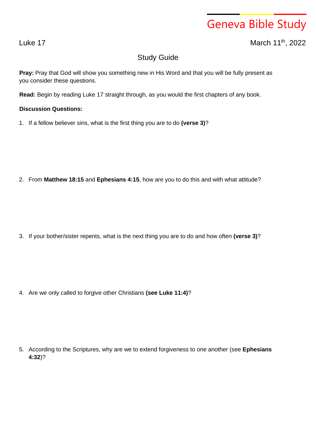## Geneva Bible Study

Luke 17 March 11th, 2022

## Study Guide

**Pray:** Pray that God will show you something new in His Word and that you will be fully present as you consider these questions.

**Read:** Begin by reading Luke 17 straight through, as you would the first chapters of any book.

## **Discussion Questions:**

1. If a fellow believer sins, what is the first thing you are to do **(verse 3)**?

2. From **Matthew 18:15** and **Ephesians 4:15**, how are you to do this and with what attitude?

3. If your bother/sister repents, what is the next thing you are to do and how often **(verse 3)**?

4. Are we only called to forgive other Christians **(see Luke 11:4)**?

5. According to the Scriptures, why are we to extend forgiveness to one another (see **Ephesians 4:32**)?